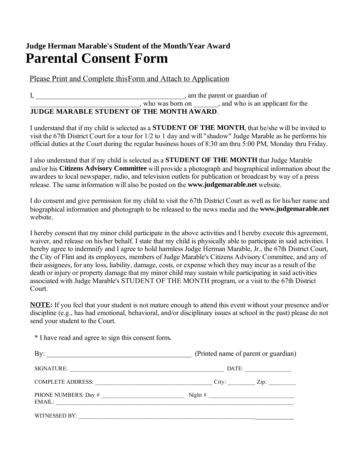## **Judge Herman Marable's Student of the Month/Year Award Parental Consent Form**

Please Print and Complete this Form and Attach to Application

I, \_\_\_\_\_\_\_\_\_\_\_\_\_\_\_\_\_\_\_\_\_\_\_\_\_\_\_\_\_\_\_\_\_\_\_\_\_\_\_\_\_\_, am the parent or guardian of who was born on \_\_\_\_\_\_, and who is an applicant for the **JUDGE MARABLE STUDENT OF THE MONTH AWARD**.

I understand that if my child is selected as a **STUDENT OF THE MONTH**, that he/she will be invited to visit the 67th District Court for a tour for 1/2 to 1 day and will "shadow" Judge Marable as he performs his official duties at the Court during the regular business hours of 8:30 am thru 5:00 PM, Monday thru Friday.

I also understand that if my child is selected as a **STUDENT OF THE MONTH** that Judge Marable and/or his **Citizens Advisory Committee** will provide a photograph and biographical information about the awardees to local newspaper, radio, and television outlets for publication or broadcast by way of a press release. The same information will also be posted on the **www.judgemarable.net** website.

I do consent and give permission for my child to visit the 67th District Court as well as for his/her name and biographical information and photograph to be released to the news media and the **www.judgemarable.net**  website.

I hereby consent that my minor child participate in the above activities and I hereby execute this agreement, waiver, and release on his/her behalf. I state that my child is physically able to participate in said activities. I hereby agree to indemnify and I agree to hold harmless Judge Herman Marable, Jr., the 67th District Court, the City of Flint and its employees, members of Judge Marable's Citizens Advisory Committee, and any of their assignees, for any loss, liability, damage, costs, or expense which they may incur as a result of the death or injury or property damage that my minor child may sustain while participating in said activities associated with Judge Marable's STUDENT OF THE MONTH program, or a visit to the 67th District Court.

**NOTE:** If you feel that your student is not mature enough to attend this event without your presence and/or discipline (e.g., has had emotional, behavioral, and/or disciplinary issues at school in the past) please do not send your student to the Court.

\* I have read and agree to sign this consent form**.**

| By:<br><u> 1989 - Johann John Stone, Amerikaansk politiker (</u> | (Printed name of parent or guardian) |
|------------------------------------------------------------------|--------------------------------------|
|                                                                  |                                      |
|                                                                  | $City:$ $Zip:$                       |
|                                                                  |                                      |
| WITNESSED BY:                                                    |                                      |